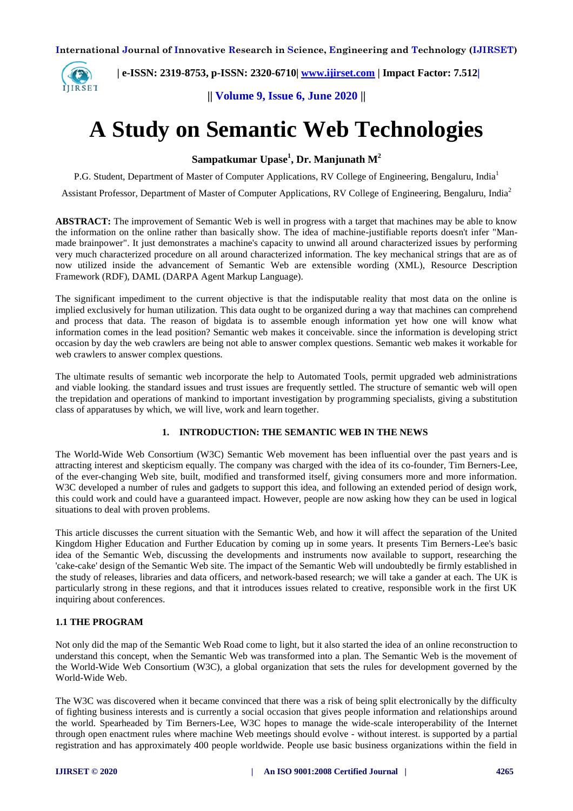

 **| e-ISSN: 2319-8753, p-ISSN: 2320-6710| [www.ijirset.com](http://www.ijirset.com/) | Impact Factor: 7.512|**

**|| Volume 9, Issue 6, June 2020 ||** 

# **A Study on Semantic Web Technologies**

**Sampatkumar Upase<sup>1</sup> , Dr. Manjunath M<sup>2</sup>**

P.G. Student, Department of Master of Computer Applications, RV College of Engineering, Bengaluru, India<sup>1</sup>

Assistant Professor, Department of Master of Computer Applications, RV College of Engineering, Bengaluru, India<sup>2</sup>

**ABSTRACT:** The improvement of Semantic Web is well in progress with a target that machines may be able to know the information on the online rather than basically show. The idea of machine-justifiable reports doesn't infer "Manmade brainpower". It just demonstrates a machine's capacity to unwind all around characterized issues by performing very much characterized procedure on all around characterized information. The key mechanical strings that are as of now utilized inside the advancement of Semantic Web are extensible wording (XML), Resource Description Framework (RDF), DAML (DARPA Agent Markup Language).

The significant impediment to the current objective is that the indisputable reality that most data on the online is implied exclusively for human utilization. This data ought to be organized during a way that machines can comprehend and process that data. The reason of bigdata is to assemble enough information yet how one will know what information comes in the lead position? Semantic web makes it conceivable. since the information is developing strict occasion by day the web crawlers are being not able to answer complex questions. Semantic web makes it workable for web crawlers to answer complex questions.

The ultimate results of semantic web incorporate the help to Automated Tools, permit upgraded web administrations and viable looking. the standard issues and trust issues are frequently settled. The structure of semantic web will open the trepidation and operations of mankind to important investigation by programming specialists, giving a substitution class of apparatuses by which, we will live, work and learn together.

### **1. INTRODUCTION: THE SEMANTIC WEB IN THE NEWS**

The World-Wide Web Consortium (W3C) Semantic Web movement has been influential over the past years and is attracting interest and skepticism equally. The company was charged with the idea of its co-founder, Tim Berners-Lee, of the ever-changing Web site, built, modified and transformed itself, giving consumers more and more information. W3C developed a number of rules and gadgets to support this idea, and following an extended period of design work, this could work and could have a guaranteed impact. However, people are now asking how they can be used in logical situations to deal with proven problems.

This article discusses the current situation with the Semantic Web, and how it will affect the separation of the United Kingdom Higher Education and Further Education by coming up in some years. It presents Tim Berners-Lee's basic idea of the Semantic Web, discussing the developments and instruments now available to support, researching the 'cake-cake' design of the Semantic Web site. The impact of the Semantic Web will undoubtedly be firmly established in the study of releases, libraries and data officers, and network-based research; we will take a gander at each. The UK is particularly strong in these regions, and that it introduces issues related to creative, responsible work in the first UK inquiring about conferences.

### **1.1 THE PROGRAM**

Not only did the map of the Semantic Web Road come to light, but it also started the idea of an online reconstruction to understand this concept, when the Semantic Web was transformed into a plan. The Semantic Web is the movement of the World-Wide Web Consortium (W3C), a global organization that sets the rules for development governed by the World-Wide Web.

The W3C was discovered when it became convinced that there was a risk of being split electronically by the difficulty of fighting business interests and is currently a social occasion that gives people information and relationships around the world. Spearheaded by Tim Berners-Lee, W3C hopes to manage the wide-scale interoperability of the Internet through open enactment rules where machine Web meetings should evolve - without interest. is supported by a partial registration and has approximately 400 people worldwide. People use basic business organizations within the field in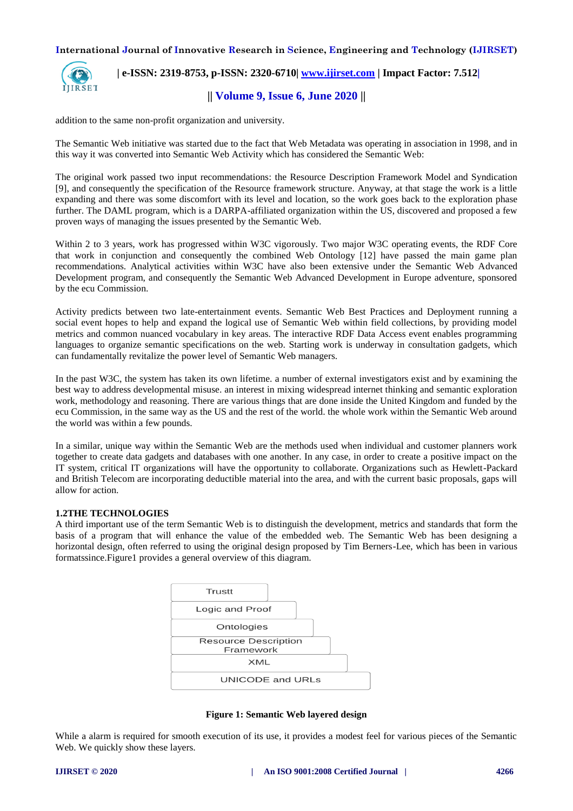

## **| e-ISSN: 2319-8753, p-ISSN: 2320-6710| [www.ijirset.com](http://www.ijirset.com/) | Impact Factor: 7.512|**

## **|| Volume 9, Issue 6, June 2020 ||**

addition to the same non-profit organization and university.

The Semantic Web initiative was started due to the fact that Web Metadata was operating in association in 1998, and in this way it was converted into Semantic Web Activity which has considered the Semantic Web:

The original work passed two input recommendations: the Resource Description Framework Model and Syndication [9], and consequently the specification of the Resource framework structure. Anyway, at that stage the work is a little expanding and there was some discomfort with its level and location, so the work goes back to the exploration phase further. The DAML program, which is a DARPA-affiliated organization within the US, discovered and proposed a few proven ways of managing the issues presented by the Semantic Web.

Within 2 to 3 years, work has progressed within W3C vigorously. Two major W3C operating events, the RDF Core that work in conjunction and consequently the combined Web Ontology [12] have passed the main game plan recommendations. Analytical activities within W3C have also been extensive under the Semantic Web Advanced Development program, and consequently the Semantic Web Advanced Development in Europe adventure, sponsored by the ecu Commission.

Activity predicts between two late-entertainment events. Semantic Web Best Practices and Deployment running a social event hopes to help and expand the logical use of Semantic Web within field collections, by providing model metrics and common nuanced vocabulary in key areas. The interactive RDF Data Access event enables programming languages to organize semantic specifications on the web. Starting work is underway in consultation gadgets, which can fundamentally revitalize the power level of Semantic Web managers.

In the past W3C, the system has taken its own lifetime. a number of external investigators exist and by examining the best way to address developmental misuse. an interest in mixing widespread internet thinking and semantic exploration work, methodology and reasoning. There are various things that are done inside the United Kingdom and funded by the ecu Commission, in the same way as the US and the rest of the world. the whole work within the Semantic Web around the world was within a few pounds.

In a similar, unique way within the Semantic Web are the methods used when individual and customer planners work together to create data gadgets and databases with one another. In any case, in order to create a positive impact on the IT system, critical IT organizations will have the opportunity to collaborate. Organizations such as Hewlett-Packard and British Telecom are incorporating deductible material into the area, and with the current basic proposals, gaps will allow for action.

#### **1.2THE TECHNOLOGIES**

A third important use of the term Semantic Web is to distinguish the development, metrics and standards that form the basis of a program that will enhance the value of the embedded web. The Semantic Web has been designing a horizontal design, often referred to using the original design proposed by Tim Berners-Lee, which has been in various formatssince.Figure1 provides a general overview of this diagram.



**Figure 1: Semantic Web layered design**

While a alarm is required for smooth execution of its use, it provides a modest feel for various pieces of the Semantic Web. We quickly show these layers.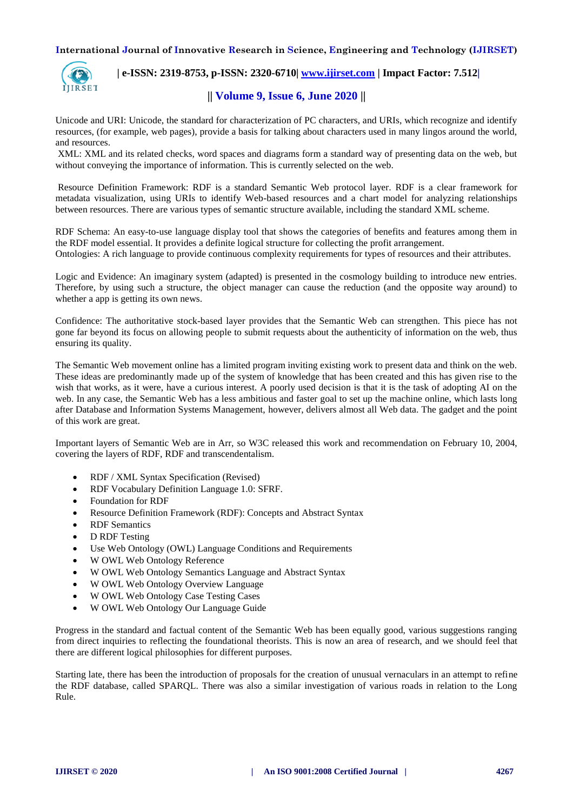

## **| e-ISSN: 2319-8753, p-ISSN: 2320-6710| [www.ijirset.com](http://www.ijirset.com/) | Impact Factor: 7.512|**

## **|| Volume 9, Issue 6, June 2020 ||**

Unicode and URI: Unicode, the standard for characterization of PC characters, and URIs, which recognize and identify resources, (for example, web pages), provide a basis for talking about characters used in many lingos around the world, and resources.

XML: XML and its related checks, word spaces and diagrams form a standard way of presenting data on the web, but without conveying the importance of information. This is currently selected on the web.

Resource Definition Framework: RDF is a standard Semantic Web protocol layer. RDF is a clear framework for metadata visualization, using URIs to identify Web-based resources and a chart model for analyzing relationships between resources. There are various types of semantic structure available, including the standard XML scheme.

RDF Schema: An easy-to-use language display tool that shows the categories of benefits and features among them in the RDF model essential. It provides a definite logical structure for collecting the profit arrangement. Ontologies: A rich language to provide continuous complexity requirements for types of resources and their attributes.

Logic and Evidence: An imaginary system (adapted) is presented in the cosmology building to introduce new entries. Therefore, by using such a structure, the object manager can cause the reduction (and the opposite way around) to whether a app is getting its own news.

Confidence: The authoritative stock-based layer provides that the Semantic Web can strengthen. This piece has not gone far beyond its focus on allowing people to submit requests about the authenticity of information on the web, thus ensuring its quality.

The Semantic Web movement online has a limited program inviting existing work to present data and think on the web. These ideas are predominantly made up of the system of knowledge that has been created and this has given rise to the wish that works, as it were, have a curious interest. A poorly used decision is that it is the task of adopting AI on the web. In any case, the Semantic Web has a less ambitious and faster goal to set up the machine online, which lasts long after Database and Information Systems Management, however, delivers almost all Web data. The gadget and the point of this work are great.

Important layers of Semantic Web are in Arr, so W3C released this work and recommendation on February 10, 2004, covering the layers of RDF, RDF and transcendentalism.

- RDF / XML Syntax Specification (Revised)
- RDF Vocabulary Definition Language 1.0: SFRF.
- Foundation for RDF
- Resource Definition Framework (RDF): Concepts and Abstract Syntax
- RDF Semantics
- D RDF Testing
- Use Web Ontology (OWL) Language Conditions and Requirements
- W OWL Web Ontology Reference
- W OWL Web Ontology Semantics Language and Abstract Syntax
- W OWL Web Ontology Overview Language
- W OWL Web Ontology Case Testing Cases
- W OWL Web Ontology Our Language Guide

Progress in the standard and factual content of the Semantic Web has been equally good, various suggestions ranging from direct inquiries to reflecting the foundational theorists. This is now an area of research, and we should feel that there are different logical philosophies for different purposes.

Starting late, there has been the introduction of proposals for the creation of unusual vernaculars in an attempt to refine the RDF database, called SPARQL. There was also a similar investigation of various roads in relation to the Long Rule.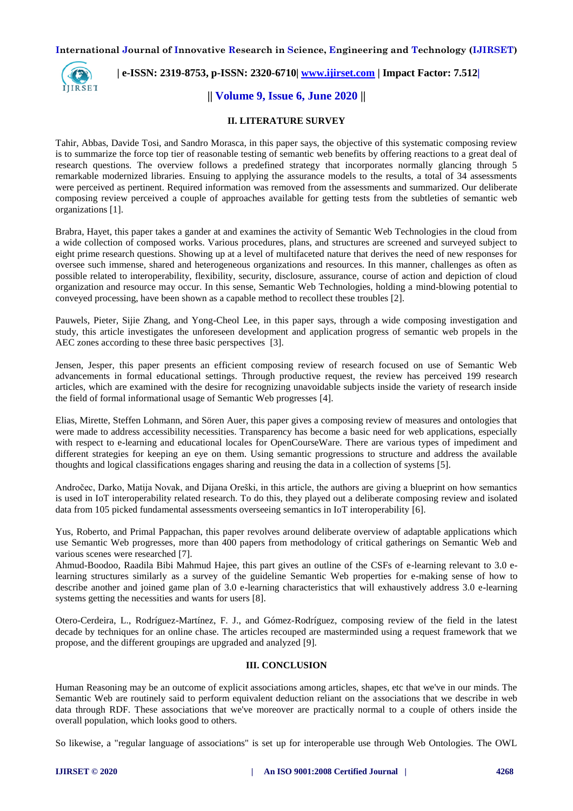

## **| e-ISSN: 2319-8753, p-ISSN: 2320-6710| [www.ijirset.com](http://www.ijirset.com/) | Impact Factor: 7.512|**

## **|| Volume 9, Issue 6, June 2020 ||**

## **II. LITERATURE SURVEY**

Tahir, Abbas, Davide Tosi, and Sandro Morasca, in this paper says, the objective of this systematic composing review is to summarize the force top tier of reasonable testing of semantic web benefits by offering reactions to a great deal of research questions. The overview follows a predefined strategy that incorporates normally glancing through 5 remarkable modernized libraries. Ensuing to applying the assurance models to the results, a total of 34 assessments were perceived as pertinent. Required information was removed from the assessments and summarized. Our deliberate composing review perceived a couple of approaches available for getting tests from the subtleties of semantic web organizations [1].

Brabra, Hayet, this paper takes a gander at and examines the activity of Semantic Web Technologies in the cloud from a wide collection of composed works. Various procedures, plans, and structures are screened and surveyed subject to eight prime research questions. Showing up at a level of multifaceted nature that derives the need of new responses for oversee such immense, shared and heterogeneous organizations and resources. In this manner, challenges as often as possible related to interoperability, flexibility, security, disclosure, assurance, course of action and depiction of cloud organization and resource may occur. In this sense, Semantic Web Technologies, holding a mind-blowing potential to conveyed processing, have been shown as a capable method to recollect these troubles [2].

Pauwels, Pieter, Sijie Zhang, and Yong-Cheol Lee, in this paper says, through a wide composing investigation and study, this article investigates the unforeseen development and application progress of semantic web propels in the AEC zones according to these three basic perspectives [3].

Jensen, Jesper, this paper presents an efficient composing review of research focused on use of Semantic Web advancements in formal educational settings. Through productive request, the review has perceived 199 research articles, which are examined with the desire for recognizing unavoidable subjects inside the variety of research inside the field of formal informational usage of Semantic Web progresses [4].

Elias, Mirette, Steffen Lohmann, and Sören Auer, this paper gives a composing review of measures and ontologies that were made to address accessibility necessities. Transparency has become a basic need for web applications, especially with respect to e-learning and educational locales for OpenCourseWare. There are various types of impediment and different strategies for keeping an eye on them. Using semantic progressions to structure and address the available thoughts and logical classifications engages sharing and reusing the data in a collection of systems [5].

Andročec, Darko, Matija Novak, and Dijana Oreški, in this article, the authors are giving a blueprint on how semantics is used in IoT interoperability related research. To do this, they played out a deliberate composing review and isolated data from 105 picked fundamental assessments overseeing semantics in IoT interoperability [6].

Yus, Roberto, and Primal Pappachan, this paper revolves around deliberate overview of adaptable applications which use Semantic Web progresses, more than 400 papers from methodology of critical gatherings on Semantic Web and various scenes were researched [7].

Ahmud-Boodoo, Raadila Bibi Mahmud Hajee, this part gives an outline of the CSFs of e-learning relevant to 3.0 elearning structures similarly as a survey of the guideline Semantic Web properties for e-making sense of how to describe another and joined game plan of 3.0 e-learning characteristics that will exhaustively address 3.0 e-learning systems getting the necessities and wants for users [8].

Otero-Cerdeira, L., Rodríguez-Martínez, F. J., and Gómez-Rodríguez, composing review of the field in the latest decade by techniques for an online chase. The articles recouped are masterminded using a request framework that we propose, and the different groupings are upgraded and analyzed [9].

#### **III. CONCLUSION**

Human Reasoning may be an outcome of explicit associations among articles, shapes, etc that we've in our minds. The Semantic Web are routinely said to perform equivalent deduction reliant on the associations that we describe in web data through RDF. These associations that we've moreover are practically normal to a couple of others inside the overall population, which looks good to others.

So likewise, a "regular language of associations" is set up for interoperable use through Web Ontologies. The OWL